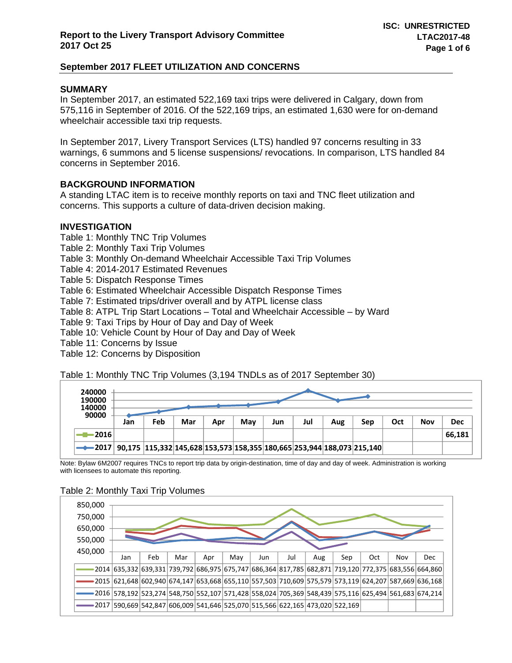### **SUMMARY**

In September 2017, an estimated 522,169 taxi trips were delivered in Calgary, down from 575,116 in September of 2016. Of the 522,169 trips, an estimated 1,630 were for on-demand wheelchair accessible taxi trip requests.

In September 2017, Livery Transport Services (LTS) handled 97 concerns resulting in 33 warnings, 6 summons and 5 license suspensions/ revocations. In comparison, LTS handled 84 concerns in September 2016.

## **BACKGROUND INFORMATION**

A standing LTAC item is to receive monthly reports on taxi and TNC fleet utilization and concerns. This supports a culture of data-driven decision making.

### **INVESTIGATION**

Table 1: Monthly TNC Trip Volumes

Table 2: Monthly Taxi Trip Volumes

Table 3: Monthly On-demand Wheelchair Accessible Taxi Trip Volumes

Table 4: 2014-2017 Estimated Revenues

Table 5: Dispatch Response Times

Table 6: Estimated Wheelchair Accessible Dispatch Response Times

Table 7: Estimated trips/driver overall and by ATPL license class

Table 8: ATPL Trip Start Locations – Total and Wheelchair Accessible – by Ward

Table 9: Taxi Trips by Hour of Day and Day of Week

Table 10: Vehicle Count by Hour of Day and Day of Week

Table 11: Concerns by Issue

Table 12: Concerns by Disposition

Table 1: Monthly TNC Trip Volumes (3,194 TNDLs as of 2017 September 30)

| 240000<br>190000<br>140000 |     |     |     |     |     |     |     |     |                                                                        |     |            |            |  |  |  |
|----------------------------|-----|-----|-----|-----|-----|-----|-----|-----|------------------------------------------------------------------------|-----|------------|------------|--|--|--|
| 90000                      | Jan | Feb | Mar | Apr | Mav | Jun | Jul | Aug | Sep                                                                    | Oct | <b>Nov</b> | <b>Dec</b> |  |  |  |
| -2016                      |     |     |     |     |     |     |     |     |                                                                        |     |            | 66,181     |  |  |  |
| -2017                      |     |     |     |     |     |     |     |     | 90,175 115,332 145,628 153,573 158,355 180,665 253,944 188,073 215,140 |     |            |            |  |  |  |

Note: Bylaw 6M2007 requires TNCs to report trip data by origin-destination, time of day and day of week. Administration is working with licensees to automate this reporting.

#### Table 2: Monthly Taxi Trip Volumes

| 850,000<br>750,000<br>650,000<br>550,000 |                                                                                                            |     |     |     |     |     |     |     |     |     |     |            |
|------------------------------------------|------------------------------------------------------------------------------------------------------------|-----|-----|-----|-----|-----|-----|-----|-----|-----|-----|------------|
| 450,000                                  | Jan                                                                                                        | Feb | Mar | Apr | May | Jun | Jul | Aug | Sep | Oct | Nov | <b>Dec</b> |
|                                          | 2014 635,332 639,331 739,792 686,975 675,747 686,364 817,785 682,871 719,120 772,375 683,556 664,860       |     |     |     |     |     |     |     |     |     |     |            |
|                                          | 2015 621,648 602,940 674,147 653,668 655,110 557,503 710,609 575,579 573,119 624,207 587,669 636,168       |     |     |     |     |     |     |     |     |     |     |            |
|                                          | 2016 578,192 523,274 548,750 552,107 571,428 558,024 705,369 548,439 575,116 625,494 561,683 674,214 أوالا |     |     |     |     |     |     |     |     |     |     |            |
|                                          | 2017 590,669 542,847 606,009 541,646 525,070 515,566 622,165 473,020 522,169                               |     |     |     |     |     |     |     |     |     |     |            |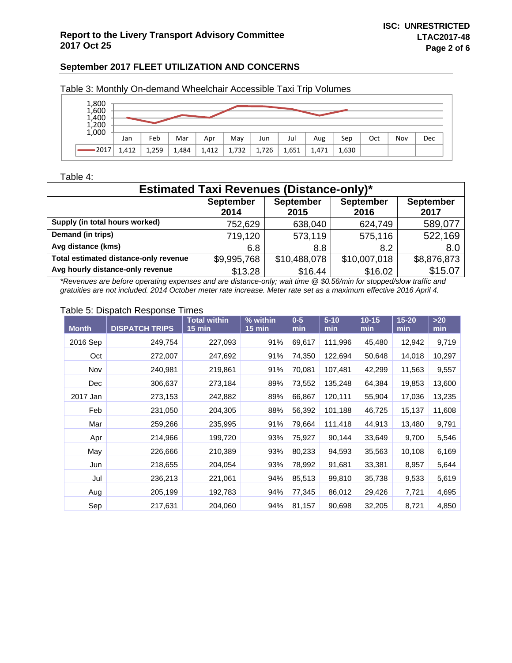| 1,800<br>1,600<br>1,400<br>1,200<br>1,000 |       |       |       |       |       |       |       |       |       |     |     |     |
|-------------------------------------------|-------|-------|-------|-------|-------|-------|-------|-------|-------|-----|-----|-----|
|                                           | Jan   | Feb   | Mar   | Apr   | May   | Jun   | Jul   | Aug   | Sep   | Oct | Nov | Dec |
| 2017                                      | 1,412 | 1,259 | 1,484 | 1,412 | 1,732 | 1,726 | 1,651 | 1,471 | 1,630 |     |     |     |

Table 3: Monthly On-demand Wheelchair Accessible Taxi Trip Volumes

#### Table 4:

| <b>Estimated Taxi Revenues (Distance-only)*</b> |                                                                                                              |              |              |             |  |  |  |  |  |  |  |
|-------------------------------------------------|--------------------------------------------------------------------------------------------------------------|--------------|--------------|-------------|--|--|--|--|--|--|--|
|                                                 | <b>September</b><br><b>September</b><br><b>September</b><br><b>September</b><br>2016<br>2017<br>2014<br>2015 |              |              |             |  |  |  |  |  |  |  |
| Supply (in total hours worked)                  | 752,629                                                                                                      | 638,040      | 624,749      | 589,077     |  |  |  |  |  |  |  |
| Demand (in trips)                               | 719,120                                                                                                      | 573,119      | 575,116      | 522,169     |  |  |  |  |  |  |  |
| Avg distance (kms)                              | 6.8                                                                                                          | 8.8          | 8.2          | 8.0         |  |  |  |  |  |  |  |
| Total estimated distance-only revenue           | \$9,995,768                                                                                                  | \$10,488,078 | \$10,007,018 | \$8,876,873 |  |  |  |  |  |  |  |
| Avg hourly distance-only revenue                | \$13.28                                                                                                      | \$16.44      | \$16.02      | \$15.07     |  |  |  |  |  |  |  |

*\*Revenues are before operating expenses and are distance-only; wait time @ \$0.56/min for stopped/slow traffic and gratuities are not included. 2014 October meter rate increase. Meter rate set as a maximum effective 2016 April 4.* 

#### Table 5: Dispatch Response Times

| <b>Month</b> | <b>DISPATCH TRIPS</b> | <b>Total within</b><br>$15 \text{ min}$ | % within<br>$15 \text{ min}$ | $0-5$<br>min | $5 - 10$<br>min | $10 - 15$<br>min | $15 - 20$<br>min | $>20$<br>min |
|--------------|-----------------------|-----------------------------------------|------------------------------|--------------|-----------------|------------------|------------------|--------------|
| 2016 Sep     | 249,754               | 227,093                                 | 91%                          | 69,617       | 111,996         | 45,480           | 12,942           | 9,719        |
| Oct          | 272,007               | 247,692                                 | 91%                          | 74,350       | 122,694         | 50,648           | 14,018           | 10,297       |
| Nov          | 240,981               | 219,861                                 | 91%                          | 70,081       | 107,481         | 42,299           | 11,563           | 9,557        |
| Dec          | 306,637               | 273,184                                 | 89%                          | 73,552       | 135,248         | 64,384           | 19,853           | 13,600       |
| 2017 Jan     | 273,153               | 242,882                                 | 89%                          | 66,867       | 120,111         | 55,904           | 17,036           | 13,235       |
| Feb          | 231,050               | 204,305                                 | 88%                          | 56,392       | 101,188         | 46,725           | 15,137           | 11,608       |
| Mar          | 259,266               | 235,995                                 | 91%                          | 79,664       | 111,418         | 44,913           | 13,480           | 9,791        |
| Apr          | 214,966               | 199,720                                 | 93%                          | 75,927       | 90,144          | 33,649           | 9,700            | 5,546        |
| May          | 226,666               | 210,389                                 | 93%                          | 80,233       | 94,593          | 35,563           | 10,108           | 6,169        |
| Jun          | 218,655               | 204,054                                 | 93%                          | 78,992       | 91,681          | 33,381           | 8,957            | 5,644        |
| Jul          | 236,213               | 221,061                                 | 94%                          | 85,513       | 99,810          | 35,738           | 9,533            | 5,619        |
| Aug          | 205,199               | 192,783                                 | 94%                          | 77,345       | 86,012          | 29,426           | 7,721            | 4,695        |
| Sep          | 217,631               | 204,060                                 | 94%                          | 81,157       | 90,698          | 32,205           | 8,721            | 4,850        |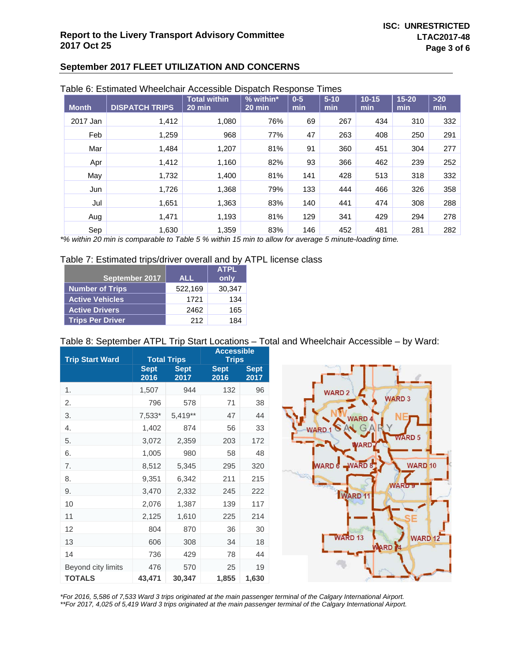|              | rabic 0. Estimated VVIIcelonali Accessibic Dispaten Response Times |                     |             |       |          |           |           |       |
|--------------|--------------------------------------------------------------------|---------------------|-------------|-------|----------|-----------|-----------|-------|
|              |                                                                    | <b>Total within</b> | $%$ within* | $0-5$ | $5 - 10$ | $10 - 15$ | $15 - 20$ | $>20$ |
| <b>Month</b> | <b>DISPATCH TRIPS</b>                                              | 20 min              | 20 min      | min   | min      | min       | min       | min   |
| 2017 Jan     | 1,412                                                              | 1,080               | 76%         | 69    | 267      | 434       | 310       | 332   |
| Feb          | 1,259                                                              | 968                 | 77%         | 47    | 263      | 408       | 250       | 291   |
| Mar          | 1,484                                                              | 1,207               | 81%         | 91    | 360      | 451       | 304       | 277   |
| Apr          | 1,412                                                              | 1,160               | 82%         | 93    | 366      | 462       | 239       | 252   |
| May          | 1,732                                                              | 1,400               | 81%         | 141   | 428      | 513       | 318       | 332   |
| Jun          | 1,726                                                              | 1,368               | 79%         | 133   | 444      | 466       | 326       | 358   |
| Jul          | 1,651                                                              | 1,363               | 83%         | 140   | 441      | 474       | 308       | 288   |
| Aug          | 1,471                                                              | 1,193               | 81%         | 129   | 341      | 429       | 294       | 278   |
| Sep          | 1,630                                                              | 1,359               | 83%         | 146   | 452      | 481       | 281       | 282   |

#### Table 6: Estimated Wheelchair Accessible Dispatch Response Times

*\*% within 20 min is comparable to Table 5 % within 15 min to allow for average 5 minute-loading time.* 

### Table 7: Estimated trips/driver overall and by ATPL license class

|                         |            | <b>ATPL</b> |
|-------------------------|------------|-------------|
| September 2017          | <b>ALL</b> | only        |
| <b>Number of Trips</b>  | 522,169    | 30,347      |
| <b>Active Vehicles</b>  | 1721       | 134         |
| <b>Active Drivers</b>   | 2462       | 165         |
| <b>Trips Per Driver</b> | 212        | 184         |

### Table 8: September ATPL Trip Start Locations – Total and Wheelchair Accessible – by Ward:

| <b>Trip Start Ward</b> |                     | <b>Total Trips</b>  | <b>Accessible</b><br><b>Trips</b> |                     |  |  |  |
|------------------------|---------------------|---------------------|-----------------------------------|---------------------|--|--|--|
|                        | <b>Sept</b><br>2016 | <b>Sept</b><br>2017 | <b>Sept</b><br>2016               | <b>Sept</b><br>2017 |  |  |  |
| 1.                     | 1,507               | 944                 | 132                               | 96                  |  |  |  |
| 2.                     | 796                 | 578                 | 71                                | 38                  |  |  |  |
| 3.                     | 7,533*              | 5,419**             | 47                                | 44                  |  |  |  |
| 4.                     | 1,402               | 874                 | 56                                | 33                  |  |  |  |
| 5.                     | 3,072               | 2,359               | 203                               | 172                 |  |  |  |
| 6.                     | 1,005               | 980                 | 58                                | 48                  |  |  |  |
| 7.                     | 8,512               | 5,345               | 295                               | 320                 |  |  |  |
| 8.                     | 9,351               | 6,342               | 211                               | 215                 |  |  |  |
| 9.                     | 3,470               | 2,332               | 245                               | 222                 |  |  |  |
| 10                     | 2,076               | 1,387               | 139                               | 117                 |  |  |  |
| 11                     | 2,125               | 1,610               | 225                               | 214                 |  |  |  |
| 12                     | 804                 | 870                 | 36                                | 30                  |  |  |  |
| 13                     | 606                 | 308                 | 34                                | 18                  |  |  |  |
| 14                     | 736                 | 429                 | 78                                | 44                  |  |  |  |
| Beyond city limits     | 476                 | 570                 | 25                                | 19                  |  |  |  |
| <b>TOTALS</b>          | 43,471              | 30,347              | 1,855                             | 1,630               |  |  |  |



*\*For 2016, 5,586 of 7,533 Ward 3 trips originated at the main passenger terminal of the Calgary International Airport. \*\*For 2017, 4,025 of 5,419 Ward 3 trips originated at the main passenger terminal of the Calgary International Airport.*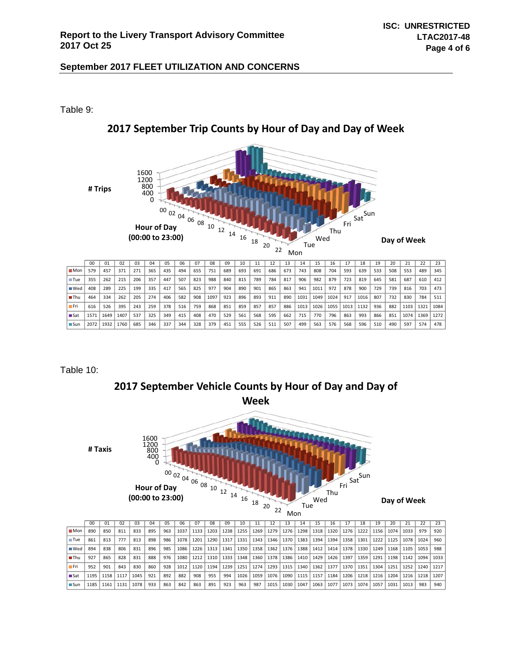Table 9:



# **2017 September Trip Counts by Hour of Day and Day of Week**

Table 10:



|                                   | 00   | 01   | 02   | 03   | 04  | 05  | 06   | 07   | 08   | 09   | 10           | 11   | 12   | 13   | 14          | 15   | 16   |      | 18   | 19          | 20          | 21          | 22        | 23   |
|-----------------------------------|------|------|------|------|-----|-----|------|------|------|------|--------------|------|------|------|-------------|------|------|------|------|-------------|-------------|-------------|-----------|------|
| $M$ on $\parallel$                | 890  | 850  | 811  | 833  | 895 | 963 | 1037 | 1133 | 1203 | 1238 | 1255         | 1269 | 1279 | 1276 | 1298        | 1318 | 1320 | 1276 | 1222 | 1156        | 1074        | 1033        | 979       | 920  |
| ■ Tue                             | 861  | 813  | 777  | 813  | 898 | 986 | 1078 | 1201 | 1290 | 1317 | $\vert$ 1331 | 1343 | 1346 |      | 1370   1383 | 1394 | 1394 | 1358 | 1301 |             | 1222   1125 | 1078 l      | 1024      | 960  |
| $\blacksquare$ Wed $\blacksquare$ | 894  | 838  | 806  | 831  | 896 | 985 | 1086 | 1226 | 1313 | 1341 | 1350         | 1358 | 1362 | 1376 | 1388        | 1412 | 1414 | 1378 | 1330 | 1249        | 1168        | 1105 1053   |           | 988  |
| $\blacksquare$ Thu                | 927  | 865  | 828  | 831  | 888 | 976 | 1080 | 1212 | 1310 | 1333 | 1348         | 1360 | 1378 | 1386 | 1410        | 1429 | 1426 | 1397 | 1359 | 1291        |             | 1198   1142 | 1094      | 1033 |
| – Fri                             | 952  | 901  | 843  | 830  | 860 | 928 | 1012 | 1120 | 1194 | 1239 | 1251         | 1274 | 1293 | 1315 | 1340        | 1362 | 1377 | 1370 | 1351 | 1304   1251 |             | 1252        | 1240      | 1217 |
| l ∎Sat                            | 1195 | 1158 | 1117 | 1045 | 921 | 892 | 882  | 908  | 955  | 994  | 1026         | 1059 | 1076 | 1090 | 1115        | 1157 | 1184 | 1206 | 1218 | 1216        | 1204        |             | 1216 1218 | 1207 |
| l ⊟ Sun                           | 1185 | 1161 | 1131 | 1078 | 933 | 863 | 842  | 863  | 891  | 923  | 963          | 987  | 1015 | 1030 | 1047        | 1063 | 1077 | 1073 | 1074 | 1057        | 1031        | 1013        | 983       | 940  |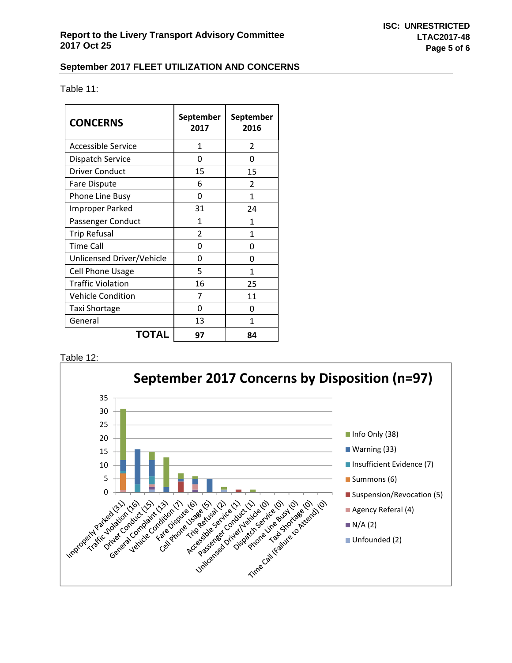Table 11:

| <b>CONCERNS</b>           | September<br>2017 | September<br>2016 |
|---------------------------|-------------------|-------------------|
| <b>Accessible Service</b> | 1                 | $\overline{2}$    |
| <b>Dispatch Service</b>   | O                 | O                 |
| <b>Driver Conduct</b>     | 15                | 15                |
| Fare Dispute              | 6                 | $\mathfrak{p}$    |
| Phone Line Busy           | O                 | 1                 |
| <b>Improper Parked</b>    | 31                | 24                |
| Passenger Conduct         | 1                 | 1                 |
| <b>Trip Refusal</b>       | $\mathfrak z$     | 1                 |
| <b>Time Call</b>          | U                 | O                 |
| Unlicensed Driver/Vehicle | O                 | O                 |
| <b>Cell Phone Usage</b>   | 5                 | 1                 |
| <b>Traffic Violation</b>  | 16                | 25                |
| <b>Vehicle Condition</b>  | 7                 | 11                |
| <b>Taxi Shortage</b>      | O                 | O                 |
| General                   | 13                | 1                 |
| TOTAL                     | 97                | 84                |

### Table 12: